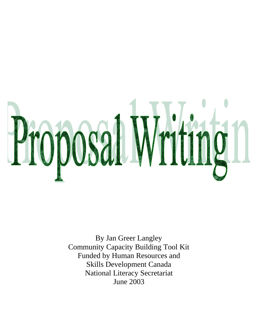

By Jan Greer Langley Community Capacity Building Tool Kit Funded by Human Resources and Skills Development Canada National Literacy Secretariat June 2003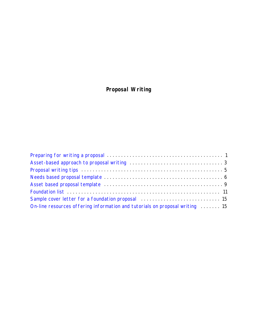## **Proposal Writing**

| Sample cover letter for a foundation proposal contractance contract to the 15 |  |
|-------------------------------------------------------------------------------|--|
| On-line resources offering information and tutorials on proposal writing  15  |  |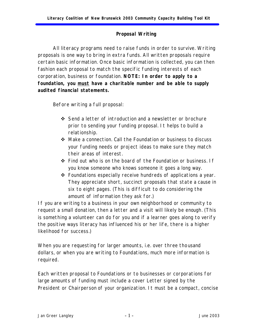## *Proposal Writing*

<span id="page-2-0"></span>All literacy programs need to raise funds in order to survive. Writing proposals is one way to bring in extra funds. All written proposals require certain basic information. Once basic information is collected, you can then fashion each proposal to match the specific funding interests of each corporation, business or foundation. **NOTE: In order to apply to a foundation, you must have a charitable number and be able to supply audited financial statements.**

Before writing a full proposal:

- ◆ Send a letter of introduction and a newsletter or brochure prior to sending your funding proposal. It helps to build a relationship.
- ◆ Make a connection. Call the Foundation or business to discuss your funding needs or project ideas to make sure they match their areas of interest.
- $\div$  Find out who is on the board of the Foundation or business. If you know someone who knows someone it goes a long way.
- $\div$  Foundations especially receive hundreds of applications a year. They appreciate short, succinct proposals that state a cause in six to eight pages. (This is difficult to do considering the amount of information they ask for.)

If you are writing to a business in your own neighborhood or community to request a small donation, then a letter and a visit will likely be enough. (This is something a volunteer can do for you and if a learner goes along to verify the positive ways literacy has influenced his or her life, there is a higher likelihood for success.)

When you are requesting for larger amounts, i.e. over three thousand dollars, or when you are writing to Foundations, much more information is required.

Each written proposal to Foundations or to businesses or corporations for large amounts of funding must include a cover Letter signed by the President or Chairperson of your organization. It must be a compact, concise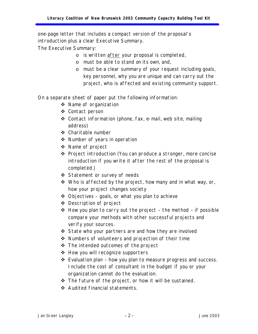one-page letter that includes a compact version of the proposal's introduction plus a clear Executive Summary.

The Executive Summary:

- o is written after your proposal is completed,
- o must be able to stand on its own, and,
- o must be a clear summary of your request including goals, key personnel, why you are unique and can carry out the project, who is affected and existing community support.

On a separate sheet of paper put the following information:

- ◆ Name of organization
- ❖ Contact person
- $\div$  Contact information (phone, fax, e-mail, web site, mailing address)
- $\div$  Charitable number
- $\div$  Number of years in operation
- ❖ Name of project
- v Project introduction (You can produce a stronger, more concise introduction if you write it after the rest of the proposal is completed.)
- Statement or survey of needs
- $\cdot$  Who is affected by the project, how many and in what way, or, how your project changes society
- $\triangleleft$  Objectives goals, or what you plan to achieve
- $\triangleleft$  Description of project
- $\triangleleft$  How you plan to carry out the project the method if possible compare your methods with other successful projects and verify your sources.
- ◆ State who your partners are and how they are involved
- $\triangleleft$  Numbers of volunteers and projection of their time
- $\cdot \cdot$  The intended outcomes of the project
- $\div$  How you will recognize supporters
- $\div$  Evaluation plan how you plan to measure progress and success. Include the cost of consultant in the budget if you or your organization cannot do the evaluation.
- $\div$  The future of the project, or how it will be sustained.
- v Audited financial statements.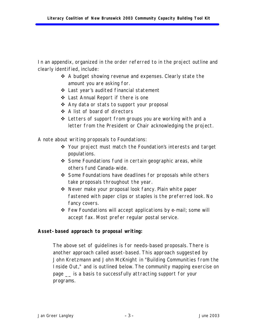<span id="page-4-0"></span>In an appendix, organized in the order referred to in the project outline and clearly identified, include:

- ◆ A budget showing revenue and expenses. Clearly state the amount you are asking for.
- $\triangleleft$  Last year's audited financial statement
- v Last Annual Report if there is one
- ❖ Any data or stats to support your proposal
- ❖ A list of board of directors
- $\cdot$  Letters of support from groups you are working with and a letter from the President or Chair acknowledging the project.

A note about writing proposals to Foundations:

- v Your project must match the Foundation's interests and target populations.
- $\div$  Some Foundations fund in certain geographic areas, while others fund Canada-wide.
- ❖ Some Foundations have deadlines for proposals while others take proposals throughout the year.
- $\div$  Never make your proposal look fancy. Plain white paper fastened with paper clips or staples is the preferred look. No fancy covers.
- $\hat{\mathbf{v}}$  Few Foundations will accept applications by e-mail; some will accept fax. Most prefer regular postal service.

## *Asset-based approach to proposal writing:*

The above set of guidelines is for needs-based proposals. There is another approach called asset-based. This approach suggested by John Kretzmann and John McKnight *in "Building Communities from the Inside Out,"* and is outlined below. The community mapping exercise on page \_\_ is a basis to successfully attracting support for your programs.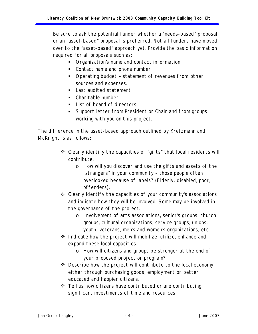Be sure to ask the potential funder whether a "needs-based" proposal or an "asset-based" proposal is preferred. Not all funders have moved over to the "asset-based" approach yet. Provide the basic information required for all proposals such as:

- **•** Organization's name and contact information
- Contact name and phone number
- **•** Operating budget statement of revenues from other sources and expenses.
- Last audited statement
- Charitable number
- List of board of directors
- **Support letter from President or Chair and from groups** working with you on this project.

The difference in the asset-based approach outlined by Kretzmann and McKnight is as follows:

- $\triangle$  Clearly identify the capacities or "gifts" that local residents will contribute.
	- o How will you discover and use the gifts and assets of the "strangers" in your community – those people often overlooked because of labels? (Elderly, disabled, poor, offenders).
- $\triangleleft$  Clearly identify the capacities of your community's associations and indicate how they will be involved. Some may be involved in the governance of the project.
	- o Involvement of arts associations, senior's groups, church groups, cultural organizations, service groups, unions, youth, veterans, men's and women's organizations, etc.
- $\cdot$  Indicate how the project will mobilize, utilize, enhance and expand these local capacities.
	- o How will citizens and groups be stronger at the end of your proposed project or program?
- $\cdot$  Describe how the project will contribute to the local economy either through purchasing goods, employment or better educated and happier citizens.
- ◆ Tell us how citizens have contributed or are contributing significant investments of time and resources.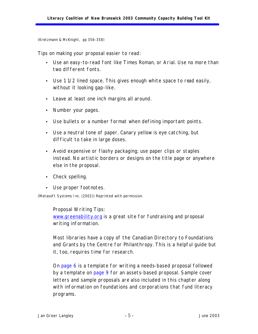<span id="page-6-0"></span>(Kretzmann & McKnight, pp 356-358)

Tips on making your proposal easier to read:

- Use an easy-to-read font like Times Roman, or Arial. Use no more than two different fonts.
- Use 1 1/2 lined space. This gives enough white space to read easily, without it looking gap-like.
- Leave at least one inch margins all around.
- Number your pages.
- Use bullets or a number format when defining important points.
- Use a neutral tone of paper. Canary yellow is eye catching, but difficult to take in large doses.
- Avoid expensive or flashy packaging; use paper clips or staples instead. No artistic borders or designs on the title page or anywhere else in the proposal.
- Check spelling.
- Use proper footnotes.

(Metasoft Systems Inc. (2002)) Reprinted with permission.

Proposal Writing Tips: <www.greenability.org>is a great site for fundraising and proposal writing information.

Most libraries have a copy of the *Canadian Directory to Foundations and Grants* by the Centre for Philanthropy. This is a helpful guide but it, too, requires time for research.

On [page 6](#page-7-0) is a template for writing a needs-based proposal followed by a template on [page 9](#page-10-0) for an assets-based proposal. Sample cover letters and sample proposals are also included in this chapter along with information on foundations and corporations that fund literacy programs.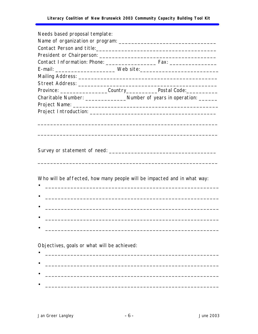<span id="page-7-0"></span>

| Needs based proposal template:                                                   |  |  |  |  |
|----------------------------------------------------------------------------------|--|--|--|--|
|                                                                                  |  |  |  |  |
|                                                                                  |  |  |  |  |
|                                                                                  |  |  |  |  |
|                                                                                  |  |  |  |  |
|                                                                                  |  |  |  |  |
|                                                                                  |  |  |  |  |
| Province: _______________________Country_______________Postal Code:_____________ |  |  |  |  |
| Charitable Number: _______________________Number of years in operation: ________ |  |  |  |  |
|                                                                                  |  |  |  |  |
|                                                                                  |  |  |  |  |
|                                                                                  |  |  |  |  |
|                                                                                  |  |  |  |  |
|                                                                                  |  |  |  |  |
|                                                                                  |  |  |  |  |
|                                                                                  |  |  |  |  |
|                                                                                  |  |  |  |  |
|                                                                                  |  |  |  |  |
|                                                                                  |  |  |  |  |
| Who will be affected, how many people will be impacted and in what way:          |  |  |  |  |
|                                                                                  |  |  |  |  |
|                                                                                  |  |  |  |  |
|                                                                                  |  |  |  |  |
|                                                                                  |  |  |  |  |
|                                                                                  |  |  |  |  |
| Objectives, goals or what will be achieved:                                      |  |  |  |  |
|                                                                                  |  |  |  |  |
|                                                                                  |  |  |  |  |
|                                                                                  |  |  |  |  |

 $\bullet$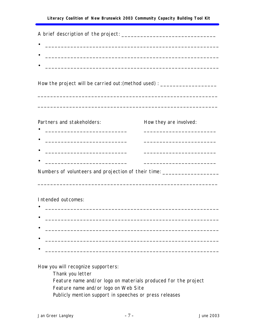A brief description of the project: \_\_\_\_\_\_\_\_\_\_\_\_\_\_\_\_\_\_\_\_\_\_\_\_\_\_\_\_\_\_  $\bullet$   $\overbrace{\hspace{25mm}}$   $\overbrace{\hspace{25mm}}$   $\overbrace{\hspace{25mm}}$   $\overbrace{\hspace{25mm}}$   $\overbrace{\hspace{25mm}}$ How the project will be carried out: (method used) : \_\_\_\_\_\_\_\_\_\_\_\_\_\_\_\_\_\_\_\_\_\_\_\_\_\_\_ \_\_\_\_\_\_\_\_\_\_\_\_\_\_\_\_\_\_\_\_\_\_\_\_\_\_\_\_\_\_\_\_\_\_\_\_\_\_\_\_\_\_\_\_\_\_\_\_\_\_\_\_\_\_\_\_\_ \_\_\_\_\_\_\_\_\_\_\_\_\_\_\_\_\_\_\_\_\_\_\_\_\_\_\_\_\_\_\_\_\_\_\_\_\_\_\_\_\_\_\_\_\_\_\_\_\_\_\_\_\_\_\_\_\_ Partners and stakeholders: How they are involved: • \_\_\_\_\_\_\_\_\_\_\_\_\_\_\_\_\_\_\_\_\_\_\_\_\_\_ \_\_\_\_\_\_\_\_\_\_\_\_\_\_\_\_\_\_\_\_\_\_\_ •  $\qquad \qquad \bullet$   $\qquad \qquad \qquad \qquad \qquad \qquad \qquad \qquad \qquad \qquad \qquad \qquad \qquad \qquad \qquad \qquad \qquad \qquad \qquad \qquad \qquad \qquad \qquad \qquad \qquad \qquad \qquad \qquad \qquad \qquad \qquad \qquad \qquad \qquad \qquad \qquad \qquad \qquad \qquad \qquad \qquad \qquad \qquad \q$ Numbers of volunteers and projection of their time: \_\_\_\_\_\_\_\_\_\_\_\_\_\_\_\_\_\_\_\_\_\_\_\_\_\_\_\_ \_\_\_\_\_\_\_\_\_\_\_\_\_\_\_\_\_\_\_\_\_\_\_\_\_\_\_\_\_\_\_\_\_\_\_\_\_\_\_\_\_\_\_\_\_\_\_\_\_\_\_\_\_\_\_\_\_ Intended outcomes:  $\bullet$  . The contract of the contract of the contract of the contract of the contract of the contract of the contract of  $\bullet$   $\overbrace{\hspace{25mm}}$   $\overbrace{\hspace{25mm}}$   $\overbrace{\hspace{25mm}}$   $\overbrace{\hspace{25mm}}$   $\overbrace{\hspace{25mm}}$ • \_\_\_\_\_\_\_\_\_\_\_\_\_\_\_\_\_\_\_\_\_\_\_\_\_\_\_\_\_\_\_\_\_\_\_\_\_\_\_\_\_\_\_\_\_\_\_\_\_\_\_\_\_\_\_

How you will recognize supporters:

Thank you letter Feature name and/or logo on materials produced for the project Feature name and/or logo on Web Site Publicly mention support in speeches or press releases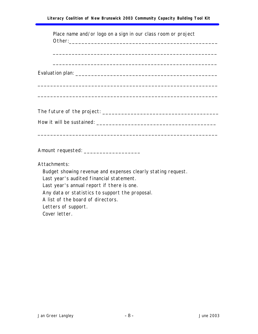| Place name and/or logo on a sign in our class room or project                                                                                                                                                                                                                                          |
|--------------------------------------------------------------------------------------------------------------------------------------------------------------------------------------------------------------------------------------------------------------------------------------------------------|
|                                                                                                                                                                                                                                                                                                        |
|                                                                                                                                                                                                                                                                                                        |
|                                                                                                                                                                                                                                                                                                        |
|                                                                                                                                                                                                                                                                                                        |
|                                                                                                                                                                                                                                                                                                        |
| Attachments:<br>Budget showing revenue and expenses clearly stating request.<br>Last year's audited financial statement.<br>Last year's annual report if there is one.<br>Any data or statistics to support the proposal.<br>A list of the board of directors.<br>Letters of support.<br>Cover letter. |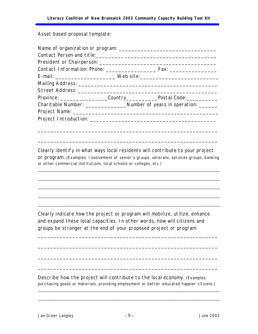<span id="page-10-0"></span>Asset based proposal template:

|  |                                                                                | E-mail: _________________________________ Web site:_____________________________  |  |  |  |
|--|--------------------------------------------------------------------------------|-----------------------------------------------------------------------------------|--|--|--|
|  |                                                                                |                                                                                   |  |  |  |
|  |                                                                                |                                                                                   |  |  |  |
|  |                                                                                | Province: _______________________Country__________________Postal Code:___________ |  |  |  |
|  | Charitable Number: ____________________Number of years in operation: _________ |                                                                                   |  |  |  |
|  |                                                                                |                                                                                   |  |  |  |
|  |                                                                                |                                                                                   |  |  |  |
|  |                                                                                |                                                                                   |  |  |  |
|  |                                                                                |                                                                                   |  |  |  |

Clearly identify in what ways local residents will contribute to your project or program. (Examples: Involvement of senior's groups, veterans, services groups, banking or other commercial institutions, local schools or colleges, etc.)

\_\_\_\_\_\_\_\_\_\_\_\_\_\_\_\_\_\_\_\_\_\_\_\_\_\_\_\_\_\_\_\_\_\_\_\_\_\_\_\_\_\_\_\_\_\_\_\_\_\_\_\_\_\_\_\_\_\_\_\_\_\_\_\_\_\_\_\_\_\_\_\_

\_\_\_\_\_\_\_\_\_\_\_\_\_\_\_\_\_\_\_\_\_\_\_\_\_\_\_\_\_\_\_\_\_\_\_\_\_\_\_\_\_\_\_\_\_\_\_\_\_\_\_\_\_\_\_\_\_\_\_\_\_\_\_\_\_\_\_\_\_\_\_\_

\_\_\_\_\_\_\_\_\_\_\_\_\_\_\_\_\_\_\_\_\_\_\_\_\_\_\_\_\_\_\_\_\_\_\_\_\_\_\_\_\_\_\_\_\_\_\_\_\_\_\_\_\_\_\_\_\_\_\_\_\_\_\_\_\_\_\_\_\_\_\_\_

\_\_\_\_\_\_\_\_\_\_\_\_\_\_\_\_\_\_\_\_\_\_\_\_\_\_\_\_\_\_\_\_\_\_\_\_\_\_\_\_\_\_\_\_\_\_\_\_\_\_\_\_\_\_\_\_\_\_\_\_\_\_\_\_\_\_\_\_\_\_\_\_

\_\_\_\_\_\_\_\_\_\_\_\_\_\_\_\_\_\_\_\_\_\_\_\_\_\_\_\_\_\_\_\_\_\_\_\_\_\_\_\_\_\_\_\_\_\_\_\_\_\_\_\_\_\_\_\_\_\_\_\_\_\_\_\_\_\_\_\_\_\_\_\_

\_\_\_\_\_\_\_\_\_\_\_\_\_\_\_\_\_\_\_\_\_\_\_\_\_\_\_\_\_\_\_\_\_\_\_\_\_\_\_\_\_\_\_\_\_\_\_\_\_\_\_\_\_\_\_\_\_

Clearly indicate how the project or program will mobilize, utilize, enhance and expand these local capacities. In other words, how will citizens and groups be stronger at the end of your proposed project or program.

\_\_\_\_\_\_\_\_\_\_\_\_\_\_\_\_\_\_\_\_\_\_\_\_\_\_\_\_\_\_\_\_\_\_\_\_\_\_\_\_\_\_\_\_\_\_\_\_\_\_\_\_\_\_\_\_\_

\_\_\_\_\_\_\_\_\_\_\_\_\_\_\_\_\_\_\_\_\_\_\_\_\_\_\_\_\_\_\_\_\_\_\_\_\_\_\_\_\_\_\_\_\_\_\_\_\_\_\_\_\_\_\_\_\_

\_\_\_\_\_\_\_\_\_\_\_\_\_\_\_\_\_\_\_\_\_\_\_\_\_\_\_\_\_\_\_\_\_\_\_\_\_\_\_\_\_\_\_\_\_\_\_\_\_\_\_\_\_\_\_\_\_

\_\_\_\_\_\_\_\_\_\_\_\_\_\_\_\_\_\_\_\_\_\_\_\_\_\_\_\_\_\_\_\_\_\_\_\_\_\_\_\_\_\_\_\_\_\_\_\_\_\_\_\_\_\_\_\_\_

Describe how the project will contribute to the local economy. (Examples: purchasing goods or materials, providing employment or better-educated happier citizens.)

\_\_\_\_\_\_\_\_\_\_\_\_\_\_\_\_\_\_\_\_\_\_\_\_\_\_\_\_\_\_\_\_\_\_\_\_\_\_\_\_\_\_\_\_\_\_\_\_\_\_\_\_\_\_\_\_\_\_\_\_\_\_\_\_\_\_\_\_\_\_\_\_

\_\_\_\_\_\_\_\_\_\_\_\_\_\_\_\_\_\_\_\_\_\_\_\_\_\_\_\_\_\_\_\_\_\_\_\_\_\_\_\_\_\_\_\_\_\_\_\_\_\_\_\_\_\_\_\_\_\_\_\_\_\_\_\_\_\_\_\_\_\_\_\_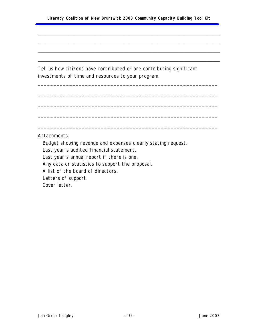\_\_\_\_\_\_\_\_\_\_\_\_\_\_\_\_\_\_\_\_\_\_\_\_\_\_\_\_\_\_\_\_\_\_\_\_\_\_\_\_\_\_\_\_\_\_\_\_\_\_\_\_\_\_\_\_\_\_\_\_\_\_\_\_\_\_\_\_\_\_\_\_

\_\_\_\_\_\_\_\_\_\_\_\_\_\_\_\_\_\_\_\_\_\_\_\_\_\_\_\_\_\_\_\_\_\_\_\_\_\_\_\_\_\_\_\_\_\_\_\_\_\_\_\_\_\_\_\_\_\_\_\_\_\_\_\_\_\_\_\_\_\_\_\_

\_\_\_\_\_\_\_\_\_\_\_\_\_\_\_\_\_\_\_\_\_\_\_\_\_\_\_\_\_\_\_\_\_\_\_\_\_\_\_\_\_\_\_\_\_\_\_\_\_\_\_\_\_\_\_\_\_\_\_\_\_\_\_\_\_\_\_\_\_\_\_\_

\_\_\_\_\_\_\_\_\_\_\_\_\_\_\_\_\_\_\_\_\_\_\_\_\_\_\_\_\_\_\_\_\_\_\_\_\_\_\_\_\_\_\_\_\_\_\_\_\_\_\_\_\_\_\_\_\_\_\_\_\_\_\_\_\_\_\_\_\_\_\_\_

\_\_\_\_\_\_\_\_\_\_\_\_\_\_\_\_\_\_\_\_\_\_\_\_\_\_\_\_\_\_\_\_\_\_\_\_\_\_\_\_\_\_\_\_\_\_\_\_\_\_\_\_\_\_\_\_\_

\_\_\_\_\_\_\_\_\_\_\_\_\_\_\_\_\_\_\_\_\_\_\_\_\_\_\_\_\_\_\_\_\_\_\_\_\_\_\_\_\_\_\_\_\_\_\_\_\_\_\_\_\_\_\_\_\_

\_\_\_\_\_\_\_\_\_\_\_\_\_\_\_\_\_\_\_\_\_\_\_\_\_\_\_\_\_\_\_\_\_\_\_\_\_\_\_\_\_\_\_\_\_\_\_\_\_\_\_\_\_\_\_\_\_

\_\_\_\_\_\_\_\_\_\_\_\_\_\_\_\_\_\_\_\_\_\_\_\_\_\_\_\_\_\_\_\_\_\_\_\_\_\_\_\_\_\_\_\_\_\_\_\_\_\_\_\_\_\_\_\_\_

\_\_\_\_\_\_\_\_\_\_\_\_\_\_\_\_\_\_\_\_\_\_\_\_\_\_\_\_\_\_\_\_\_\_\_\_\_\_\_\_\_\_\_\_\_\_\_\_\_\_\_\_\_\_\_\_\_

Tell us how citizens have contributed or are contributing significant investments of time and resources to your program.

Attachments:

Budget showing revenue and expenses clearly stating request.

Last year's audited financial statement.

Last year's annual report if there is one.

Any data or statistics to support the proposal.

A list of the board of directors.

Letters of support.

Cover letter.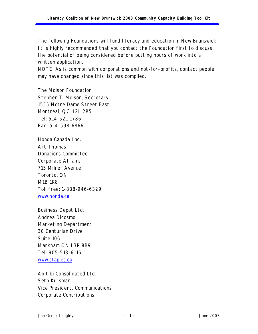<span id="page-12-0"></span>The following Foundations will fund literacy and education in New Brunswick. It is highly recommended that you contact the Foundation first to discuss the potential of being considered before putting hours of work into a written application.

NOTE: As is common with corporations and not-for-profits, contact people may have changed since this list was compiled.

The Molson Foundation Stephen T. Molson, Secretary 1555 Notre Dame Street East Montreal, QC H2L 2R5 Tel: 514-521-1786 Fax: 514-598-6866

Honda Canada Inc. Art Thomas Donations Committee Corporate Affairs 715 Milner Avenue Toronto, ON M1B 1K8 Toll free: 1-888-946-6329 <www.honda.ca>

Business Depot Ltd. Andrea Dicosmo Marketing Department 30 Centurian Drive Suite 106 Markham ON L3R 8B9 Tel: 905-513-6116 <www.staples.ca>

Abitibi Consolidated Ltd. Seth Kursman Vice President, Communications Corporate Contributions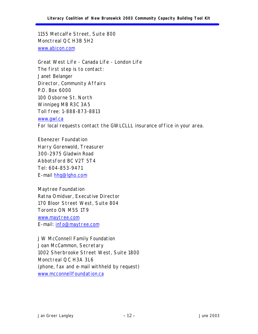1155 Metcalfe Street, Suite 800 Monctreal QC H3B 5H2 <www.abicon.com>

Great West Life - Canada Life - London Life The first step is to contact: Janet Belanger Director, Community Affairs P.O. Box 6000 100 Osborne St. North Winnipeg MB R3C 3A5 Toll free: 1-888-873-8813 <www.gwl.ca> For local requests contact the GWLCLLL insurance office in your area.

Ebenezer Foundation Harry Gorenwold, Treasurer 300-2975 Gladwin Road Abbotsford BC V2T 5T4 Tel: 604-853-9471 E-mail [hhg@lgho.com](mailto:hhg@lgho.com)

Maytree Foundation Ratna Omidvar, Executive Director 170 Bloor Street West, Suite 804 Toronto ON M5S 1T9 <www.maytree.com> E-mail: [info@maytree.com](mailto:info@maytree.com)

JW McConnell Family Foundation Joan McCammon, Secretary 1002 Sherbrooke Street West, Suite 1800 Monctreal QC H3A 3L6 (phone, fax and e-mail withheld by request) <www.mcconnellfoundation.ca>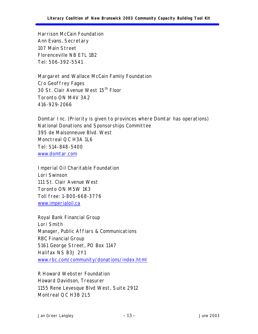Harrison McCain Foundation Ann Evans, Secretary 107 Main Street Florenceville NB E7L 1B2 Tel: 506-392-5541

Margaret and Wallace McCain Family Foundation C/o Geoffrey Fages 30 St. Clair Avenue West 15<sup>th</sup> Floor Toronto ON M4V 3A2 416-929-2066

Domtar Inc. (Priority is given to provinces where Domtar has operations) National Donations and Sponsorships Committee 395 de Maisonneuve Blvd. West Monctreal QC H3A 1L6 Tel: 514-848-5400 <www.domtar.com>

Imperial Oil Charitable Foundation Lori Swinson 111 St. Clair Avenue West Toronto ON M5W 1K3 Toll free: 1-800-668-3776 <www.imperialoil.ca>

Royal Bank Financial Group Lori Smith Manager, Public Affiars & Communications RBC Financial Group 5161 George Street, PO Box 1147 Halifax NS B3J 2Y1 <www.rbc.com/community/donations/index.html>

R Howard Webster Foundation Howard Davidson, Treasurer 1155 Rene Levesque Blvd West, Suite 2912 Montreal QC H3B 2L5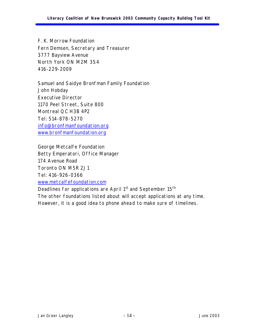F. K. Morrow Foundation Fern Demsen, Secretary and Treasurer 3777 Bayview Avenue North York ON M2M 3S4 416-229-2009

Samuel and Saidye Bronfman Family Foundation John Hobday Executive Director 1170 Peel Street, Suite 800 Montreal QC H3B 4P2 Tel: 514-878-5270 [info@bronfmanfoundation.org](mailto:info@bronfmanfoundation.org) <www.bronfmanfoundation.org>

George Metcalfe Foundation Betty Emperatori, Office Manager 174 Avenue Road Toronto ON M5R 2J1 Tel: 416-926-0366 <www.metcalfefoundation.com>

Deadlines for applications are April 1<sup>st</sup> and September 15<sup>th</sup> The other foundations listed about will accept applications at any time. However, it is a good idea to phone ahead to make sure of timelines.